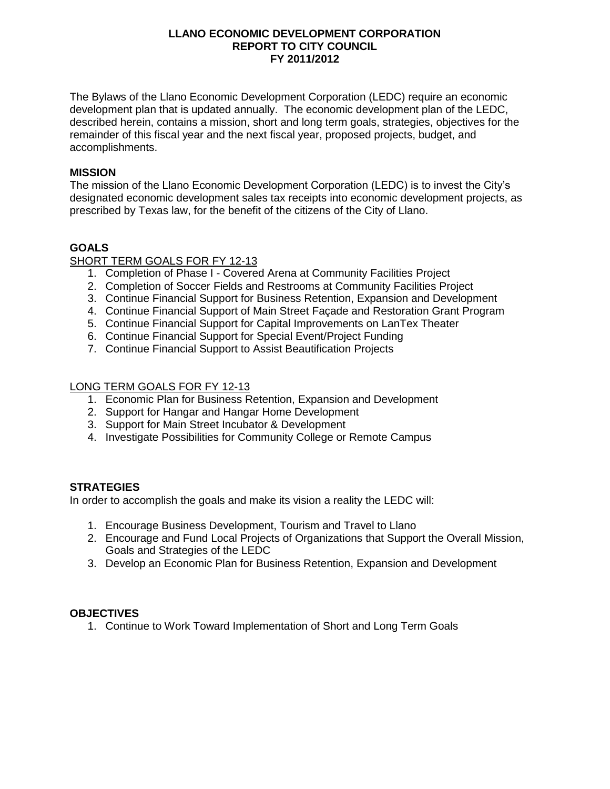#### **LLANO ECONOMIC DEVELOPMENT CORPORATION REPORT TO CITY COUNCIL FY 2011/2012**

The Bylaws of the Llano Economic Development Corporation (LEDC) require an economic development plan that is updated annually. The economic development plan of the LEDC, described herein, contains a mission, short and long term goals, strategies, objectives for the remainder of this fiscal year and the next fiscal year, proposed projects, budget, and accomplishments.

## **MISSION**

The mission of the Llano Economic Development Corporation (LEDC) is to invest the City's designated economic development sales tax receipts into economic development projects, as prescribed by Texas law, for the benefit of the citizens of the City of Llano.

## **GOALS**

#### SHORT TERM GOALS FOR FY 12-13

- 1. Completion of Phase I Covered Arena at Community Facilities Project
- 2. Completion of Soccer Fields and Restrooms at Community Facilities Project
- 3. Continue Financial Support for Business Retention, Expansion and Development
- 4. Continue Financial Support of Main Street Façade and Restoration Grant Program
- 5. Continue Financial Support for Capital Improvements on LanTex Theater
- 6. Continue Financial Support for Special Event/Project Funding
- 7. Continue Financial Support to Assist Beautification Projects

#### LONG TERM GOALS FOR FY 12-13

- 1. Economic Plan for Business Retention, Expansion and Development
- 2. Support for Hangar and Hangar Home Development
- 3. Support for Main Street Incubator & Development
- 4. Investigate Possibilities for Community College or Remote Campus

## **STRATEGIES**

In order to accomplish the goals and make its vision a reality the LEDC will:

- 1. Encourage Business Development, Tourism and Travel to Llano
- 2. Encourage and Fund Local Projects of Organizations that Support the Overall Mission, Goals and Strategies of the LEDC
- 3. Develop an Economic Plan for Business Retention, Expansion and Development

## **OBJECTIVES**

1. Continue to Work Toward Implementation of Short and Long Term Goals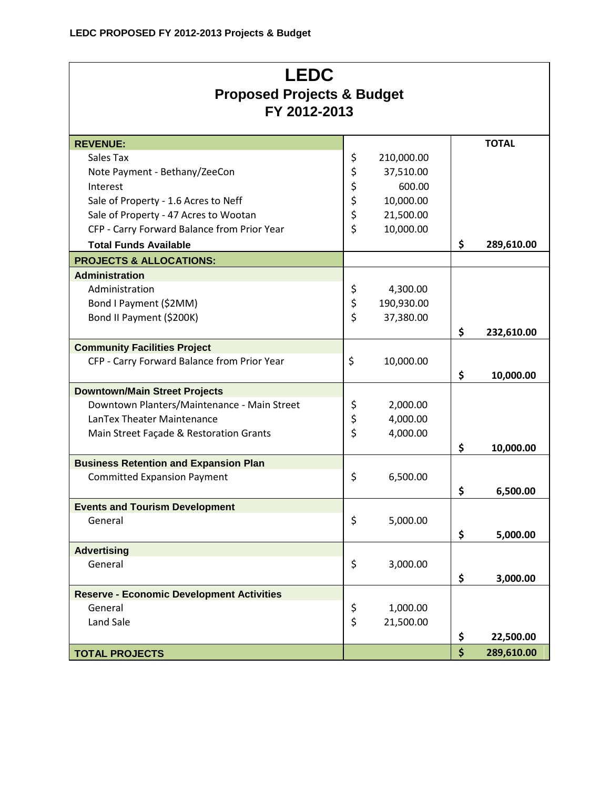# **LEDC Proposed Projects & Budget FY 2012-2013**

| <b>REVENUE:</b>                                  |          |            | <b>TOTAL</b>     |
|--------------------------------------------------|----------|------------|------------------|
| Sales Tax                                        | \$       | 210,000.00 |                  |
| Note Payment - Bethany/ZeeCon                    | \$       | 37,510.00  |                  |
| Interest                                         | \$<br>\$ | 600.00     |                  |
| Sale of Property - 1.6 Acres to Neff             |          | 10,000.00  |                  |
| Sale of Property - 47 Acres to Wootan            | \$       | 21,500.00  |                  |
| CFP - Carry Forward Balance from Prior Year      | \$       | 10,000.00  |                  |
| <b>Total Funds Available</b>                     |          |            | \$<br>289,610.00 |
| <b>PROJECTS &amp; ALLOCATIONS:</b>               |          |            |                  |
| <b>Administration</b>                            |          |            |                  |
| Administration                                   | \$       | 4,300.00   |                  |
| Bond I Payment (\$2MM)                           | \$       | 190,930.00 |                  |
| Bond II Payment (\$200K)                         | \$       | 37,380.00  |                  |
|                                                  |          |            | \$<br>232,610.00 |
| <b>Community Facilities Project</b>              |          |            |                  |
| CFP - Carry Forward Balance from Prior Year      | \$       | 10,000.00  |                  |
|                                                  |          |            | \$<br>10,000.00  |
| <b>Downtown/Main Street Projects</b>             |          |            |                  |
| Downtown Planters/Maintenance - Main Street      | \$       | 2,000.00   |                  |
| LanTex Theater Maintenance                       | \$       | 4,000.00   |                  |
| Main Street Façade & Restoration Grants          | \$       | 4,000.00   |                  |
|                                                  |          |            | \$<br>10,000.00  |
| <b>Business Retention and Expansion Plan</b>     |          |            |                  |
| <b>Committed Expansion Payment</b>               | \$       | 6,500.00   |                  |
|                                                  |          |            | \$<br>6,500.00   |
| <b>Events and Tourism Development</b>            |          |            |                  |
| General                                          | \$       | 5,000.00   |                  |
|                                                  |          |            | \$<br>5,000.00   |
| <b>Advertising</b>                               |          |            |                  |
| General                                          | \$       | 3,000.00   |                  |
|                                                  |          |            | \$<br>3,000.00   |
| <b>Reserve - Economic Development Activities</b> |          |            |                  |
| General                                          | \$       | 1,000.00   |                  |
| Land Sale                                        | \$       | 21,500.00  |                  |
|                                                  |          |            | \$<br>22,500.00  |
| <b>TOTAL PROJECTS</b>                            |          |            | \$<br>289,610.00 |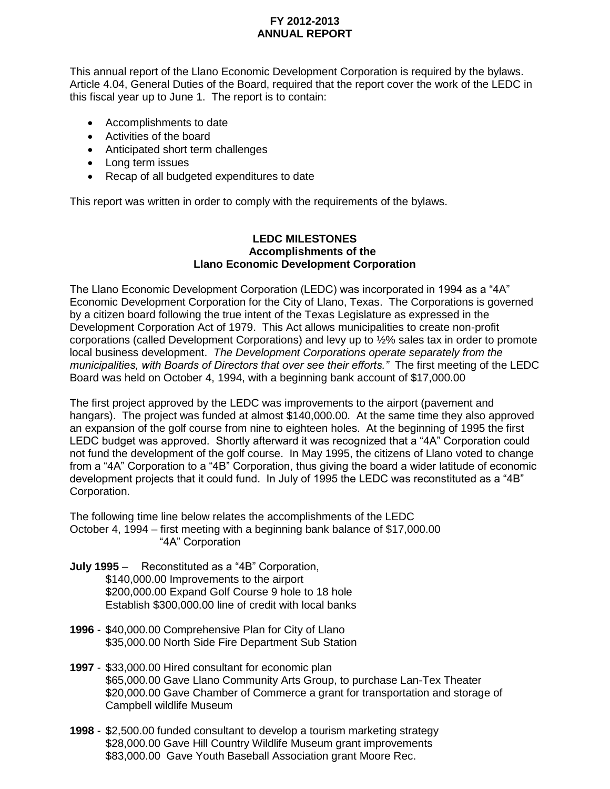## **FY 2012-2013 ANNUAL REPORT**

This annual report of the Llano Economic Development Corporation is required by the bylaws. Article 4.04, General Duties of the Board, required that the report cover the work of the LEDC in this fiscal year up to June 1. The report is to contain:

- Accomplishments to date
- Activities of the board
- Anticipated short term challenges
- Long term issues
- Recap of all budgeted expenditures to date

This report was written in order to comply with the requirements of the bylaws.

#### **LEDC MILESTONES Accomplishments of the Llano Economic Development Corporation**

The Llano Economic Development Corporation (LEDC) was incorporated in 1994 as a "4A" Economic Development Corporation for the City of Llano, Texas. The Corporations is governed by a citizen board following the true intent of the Texas Legislature as expressed in the Development Corporation Act of 1979. This Act allows municipalities to create non-profit corporations (called Development Corporations) and levy up to ½% sales tax in order to promote local business development. *The Development Corporations operate separately from the municipalities, with Boards of Directors that over see their efforts."* The first meeting of the LEDC Board was held on October 4, 1994, with a beginning bank account of \$17,000.00

The first project approved by the LEDC was improvements to the airport (pavement and hangars). The project was funded at almost \$140,000.00. At the same time they also approved an expansion of the golf course from nine to eighteen holes. At the beginning of 1995 the first LEDC budget was approved. Shortly afterward it was recognized that a "4A" Corporation could not fund the development of the golf course. In May 1995, the citizens of Llano voted to change from a "4A" Corporation to a "4B" Corporation, thus giving the board a wider latitude of economic development projects that it could fund. In July of 1995 the LEDC was reconstituted as a "4B" Corporation.

The following time line below relates the accomplishments of the LEDC October 4, 1994 – first meeting with a beginning bank balance of \$17,000.00 "4A" Corporation

- **July 1995** Reconstituted as a "4B" Corporation, \$140,000.00 Improvements to the airport \$200,000.00 Expand Golf Course 9 hole to 18 hole Establish \$300,000.00 line of credit with local banks
- **1996**  \$40,000.00 Comprehensive Plan for City of Llano \$35,000.00 North Side Fire Department Sub Station
- **1997** \$33,000.00 Hired consultant for economic plan \$65,000.00 Gave Llano Community Arts Group, to purchase Lan-Tex Theater \$20,000.00 Gave Chamber of Commerce a grant for transportation and storage of Campbell wildlife Museum
- **1998** \$2,500.00 funded consultant to develop a tourism marketing strategy \$28,000.00 Gave Hill Country Wildlife Museum grant improvements \$83,000.00 Gave Youth Baseball Association grant Moore Rec.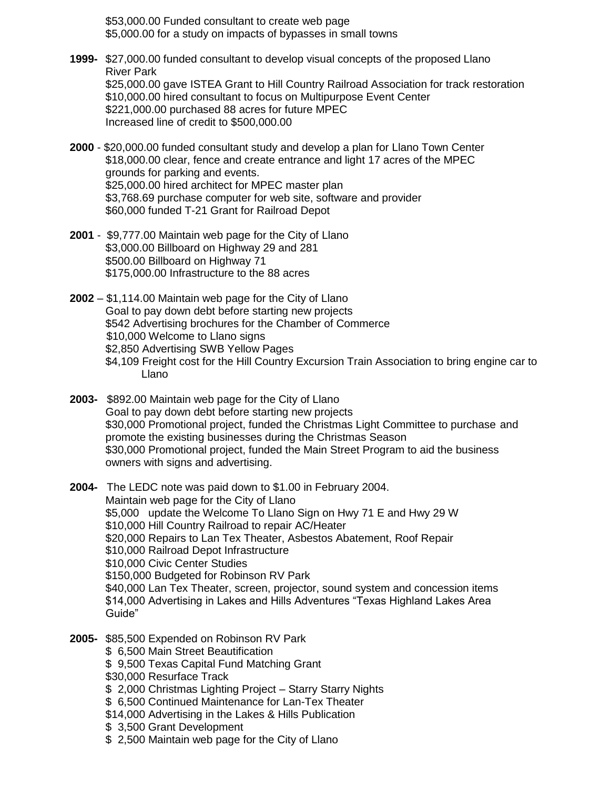\$53,000.00 Funded consultant to create web page \$5,000.00 for a study on impacts of bypasses in small towns

- **1999-** \$27,000.00 funded consultant to develop visual concepts of the proposed Llano River Park \$25,000.00 gave ISTEA Grant to Hill Country Railroad Association for track restoration \$10,000.00 hired consultant to focus on Multipurpose Event Center \$221,000.00 purchased 88 acres for future MPEC Increased line of credit to \$500,000.00
- **2000**  \$20,000.00 funded consultant study and develop a plan for Llano Town Center \$18,000.00 clear, fence and create entrance and light 17 acres of the MPEC grounds for parking and events. \$25,000.00 hired architect for MPEC master plan \$3,768.69 purchase computer for web site, software and provider \$60,000 funded T-21 Grant for Railroad Depot
- **2001** \$9,777.00 Maintain web page for the City of Llano \$3,000.00 Billboard on Highway 29 and 281 \$500.00 Billboard on Highway 71 \$175,000.00 Infrastructure to the 88 acres

**2002** – \$1,114.00 Maintain web page for the City of Llano Goal to pay down debt before starting new projects \$542 Advertising brochures for the Chamber of Commerce \$10,000 Welcome to Llano signs \$2,850 Advertising SWB Yellow Pages \$4,109 Freight cost for the Hill Country Excursion Train Association to bring engine car to

**2003-** \$892.00 Maintain web page for the City of Llano Goal to pay down debt before starting new projects \$30,000 Promotional project, funded the Christmas Light Committee to purchase and promote the existing businesses during the Christmas Season \$30,000 Promotional project, funded the Main Street Program to aid the business owners with signs and advertising.

**2004-** The LEDC note was paid down to \$1.00 in February 2004. Maintain web page for the City of Llano \$5,000 update the Welcome To Llano Sign on Hwy 71 E and Hwy 29 W \$10,000 Hill Country Railroad to repair AC/Heater \$20,000 Repairs to Lan Tex Theater, Asbestos Abatement, Roof Repair \$10,000 Railroad Depot Infrastructure \$10,000 Civic Center Studies \$150,000 Budgeted for Robinson RV Park \$40,000 Lan Tex Theater, screen, projector, sound system and concession items \$14,000 Advertising in Lakes and Hills Adventures "Texas Highland Lakes Area Guide"

- **2005-** \$85,500 Expended on Robinson RV Park
	- \$ 6,500 Main Street Beautification
	- \$ 9,500 Texas Capital Fund Matching Grant
	- \$30,000 Resurface Track

Llano

- \$ 2,000 Christmas Lighting Project Starry Starry Nights
- \$ 6,500 Continued Maintenance for Lan-Tex Theater
- \$14,000 Advertising in the Lakes & Hills Publication
- \$ 3,500 Grant Development
- \$ 2,500 Maintain web page for the City of Llano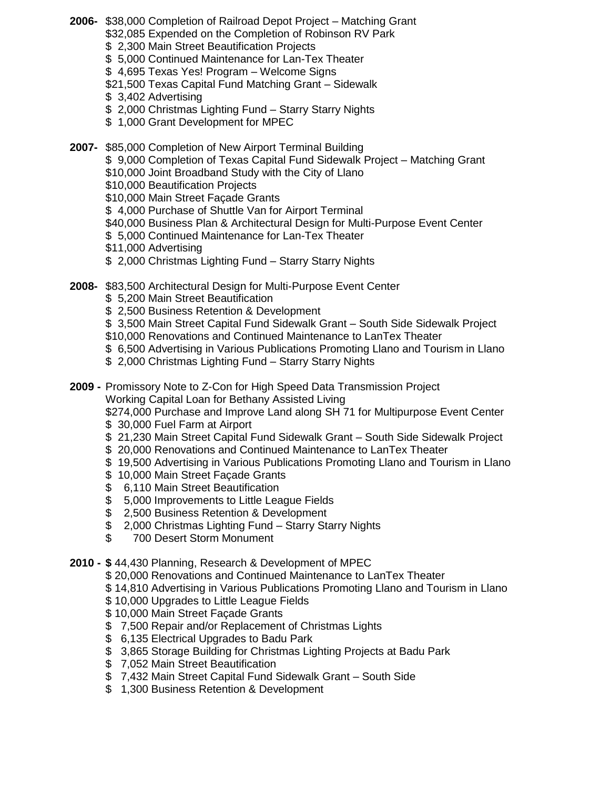- **2006-** \$38,000 Completion of Railroad Depot Project Matching Grant
	- \$32,085 Expended on the Completion of Robinson RV Park
	- \$ 2,300 Main Street Beautification Projects
	- \$ 5,000 Continued Maintenance for Lan-Tex Theater
	- \$ 4,695 Texas Yes! Program Welcome Signs
	- \$21,500 Texas Capital Fund Matching Grant Sidewalk
	- \$ 3,402 Advertising
	- \$ 2,000 Christmas Lighting Fund Starry Starry Nights
	- \$ 1,000 Grant Development for MPEC
- **2007-** \$85,000 Completion of New Airport Terminal Building
	- \$ 9,000 Completion of Texas Capital Fund Sidewalk Project Matching Grant
	- \$10,000 Joint Broadband Study with the City of Llano
	- \$10,000 Beautification Projects
	- \$10,000 Main Street Façade Grants
	- \$ 4,000 Purchase of Shuttle Van for Airport Terminal
	- \$40,000 Business Plan & Architectural Design for Multi-Purpose Event Center
	- \$ 5,000 Continued Maintenance for Lan-Tex Theater
	- \$11,000 Advertising
	- \$ 2,000 Christmas Lighting Fund Starry Starry Nights
- **2008-** \$83,500 Architectural Design for Multi-Purpose Event Center
	- \$ 5,200 Main Street Beautification
	- \$ 2,500 Business Retention & Development
	- \$ 3,500 Main Street Capital Fund Sidewalk Grant South Side Sidewalk Project
	- \$10,000 Renovations and Continued Maintenance to LanTex Theater
	- \$ 6,500 Advertising in Various Publications Promoting Llano and Tourism in Llano
	- \$ 2,000 Christmas Lighting Fund Starry Starry Nights
- **2009 -** Promissory Note to Z-Con for High Speed Data Transmission Project Working Capital Loan for Bethany Assisted Living

\$274,000 Purchase and Improve Land along SH 71 for Multipurpose Event Center \$ 30,000 Fuel Farm at Airport

- \$ 21,230 Main Street Capital Fund Sidewalk Grant South Side Sidewalk Project
- \$ 20,000 Renovations and Continued Maintenance to LanTex Theater
- \$ 19,500 Advertising in Various Publications Promoting Llano and Tourism in Llano
- \$ 10,000 Main Street Façade Grants
- \$ 6,110 Main Street Beautification
- \$ 5,000 Improvements to Little League Fields
- \$ 2,500 Business Retention & Development
- \$ 2,000 Christmas Lighting Fund Starry Starry Nights
- \$ 700 Desert Storm Monument
- **2010 - \$** 44,430 Planning, Research & Development of MPEC
	- \$ 20,000 Renovations and Continued Maintenance to LanTex Theater
	- \$ 14,810 Advertising in Various Publications Promoting Llano and Tourism in Llano
	- \$ 10,000 Upgrades to Little League Fields
	- \$ 10,000 Main Street Façade Grants
	- \$ 7,500 Repair and/or Replacement of Christmas Lights
	- \$ 6,135 Electrical Upgrades to Badu Park
	- \$ 3,865 Storage Building for Christmas Lighting Projects at Badu Park
	- \$ 7,052 Main Street Beautification
	- \$ 7,432 Main Street Capital Fund Sidewalk Grant South Side
	- \$ 1,300 Business Retention & Development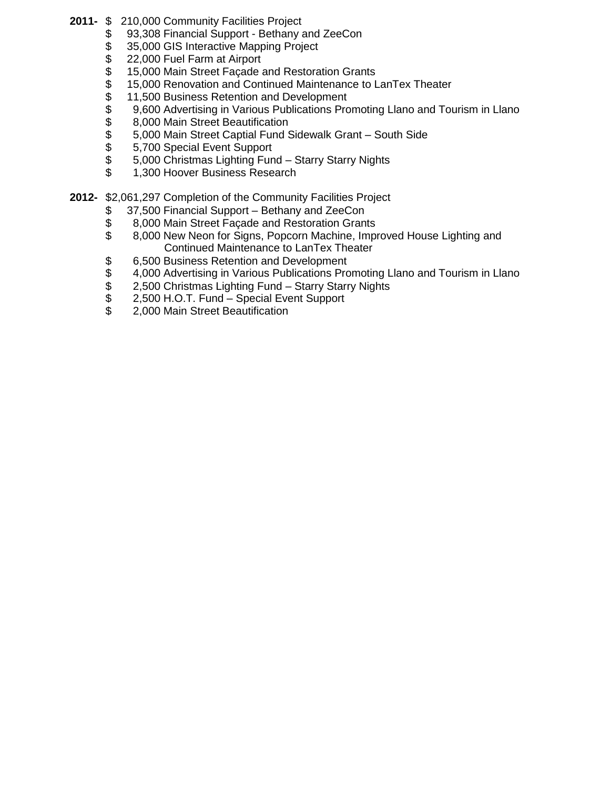- **2011-** \$ 210,000 Community Facilities Project
	- \$ 93,308 Financial Support Bethany and ZeeCon
	- \$ 35,000 GIS Interactive Mapping Project<br>\$ 22,000 Fuel Farm at Airport
	- \$ 22,000 Fuel Farm at Airport<br>\$ 15,000 Main Street Façade a
	- \$ 15,000 Main Street Façade and Restoration Grants<br>\$ 15,000 Renovation and Continued Maintenance to L
	- \$ 15,000 Renovation and Continued Maintenance to LanTex Theater
	-
	- \$11,500 Business Retention and Development<br>\$9,600 Advertising in Various Publications Pro<br>\$8,000 Main Street Beautification 9,600 Advertising in Various Publications Promoting Llano and Tourism in Llano
	-
	- \$ 8,000 Main Street Beautification<br>\$ 5,000 Main Street Captial Fund \$ \$ 5,000 Main Street Captial Fund Sidewalk Grant – South Side<br>\$ 5,700 Special Event Support
	- \$ 5,700 Special Event Support<br>\$ 5,000 Christmas Lighting Fun
	- \$ 5,000 Christmas Lighting Fund Starry Starry Nights
	- \$ 1,300 Hoover Business Research
- **2012-** \$2,061,297 Completion of the Community Facilities Project
	- \$ 37,500 Financial Support Bethany and ZeeCon
	- \$ 8,000 Main Street Façade and Restoration Grants
	- \$ 8,000 New Neon for Signs, Popcorn Machine, Improved House Lighting and Continued Maintenance to LanTex Theater
	- \$ 6,500 Business Retention and Development<br>\$ 4,000 Advertising in Various Publications Pro
	- \$4,000 Advertising in Various Publications Promoting Llano and Tourism in Llano<br>\$2,500 Christmas Lighting Fund Starry Starry Nights
	- 2,500 Christmas Lighting Fund Starry Starry Nights
	- \$ 2,500 H.O.T. Fund Special Event Support<br>\$ 2.000 Main Street Beautification
	- 2,000 Main Street Beautification